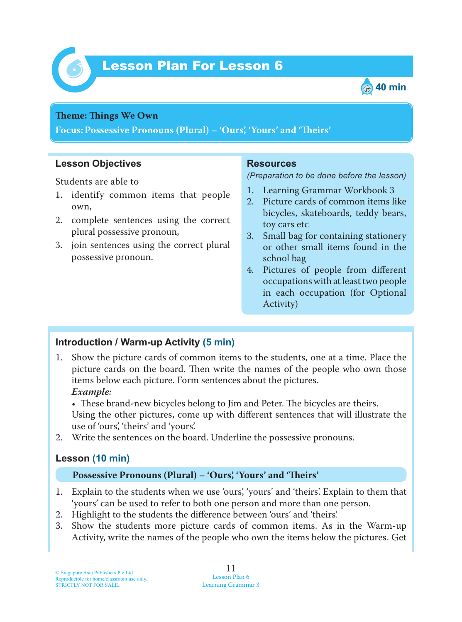



#### **Theme: Things We Own**

**Focus: Possessive Pronouns (Plural) – 'Ours', 'Yours' and 'Teirs'**

### **Lesson Objectives**

Students are able to

- 1. identify common items that people own,
- 2. complete sentences using the correct plural possessive pronoun,
- 3. join sentences using the correct plural possessive pronoun.

### **Resources**

*(Preparation to be done before the lesson)*

- 1. Learning Grammar Workbook 3
- 2. Picture cards of common items like bicycles, skateboards, teddy bears, toy cars etc
- 3. Small bag for containing stationery or other small items found in the school bag
- 4. Pictures of people from different occupations with at least two people in each occupation (for Optional Activity)

## **Introduction / Warm-up Activity (5 min)**

- 1. Show the picture cards of common items to the students, one at a time. Place the picture cards on the board. Then write the names of the people who own those items below each picture. Form sentences about the pictures.  *Example:*
	- These brand-new bicycles belong to Jim and Peter. The bicycles are theirs.

Using the other pictures, come up with different sentences that will illustrate the use of 'ours', 'theirs' and 'yours'.

2. Write the sentences on the board. Underline the possessive pronouns.

# **Lesson (10 min)**

## **Possessive Pronouns (Plural) – 'Ours', 'Yours' and 'Teirs'**

- 1. Explain to the students when we use 'ours', 'yours' and 'theirs'. Explain to them that 'yours' can be used to refer to both one person and more than one person.
- 2. Highlight to the students the difference between 'ours' and 'theirs'.
- 3. Show the students more picture cards of common items. As in the Warm-up Activity, write the names of the people who own the items below the pictures. Get